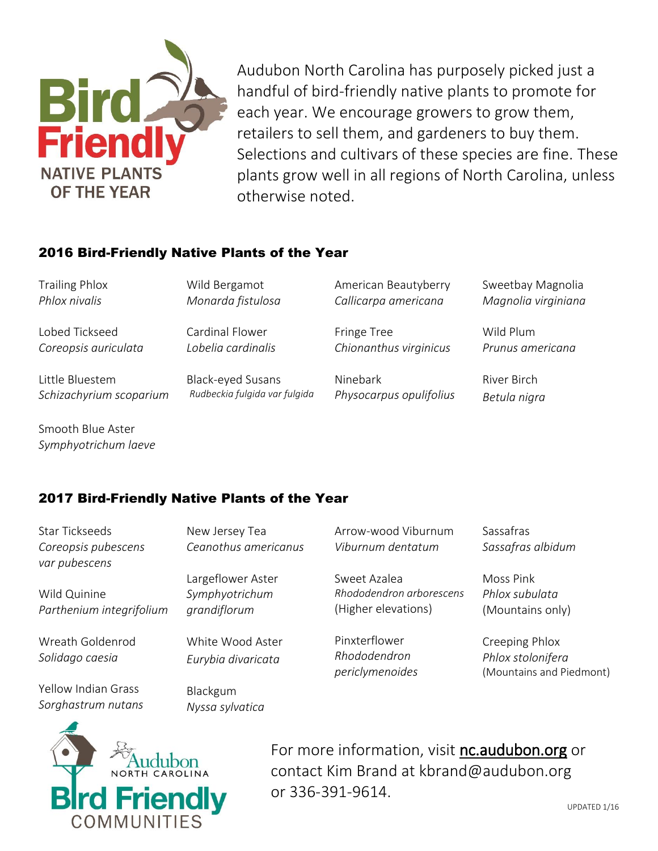

Audubon North Carolina has purposely picked just a handful of bird-friendly native plants to promote for each year. We encourage growers to grow them, retailers to sell them, and gardeners to buy them. Selections and cultivars of these species are fine. These plants grow well in all regions of North Carolina, unless otherwise noted.

## 2016 Bird-Friendly Native Plants of the Year

Wild Bergamot *Monarda fistulosa*

Cardinal Flower

Trailing Phlox *Phlox nivalis*

Lobed Tickseed *Coreopsis auriculata*

*Lobelia cardinalis* 

Little Bluestem *Schizachyrium scoparium* Black-eyed Susans *Rudbeckia fulgida var fulgida* American Beautyberry *Callicarpa americana*

Fringe Tree *Chionanthus virginicus*

Ninebark *Physocarpus opulifolius* Sweetbay Magnolia *Magnolia virginiana*

Wild Plum *Prunus americana*

River Birch *Betula nigra*

Smooth Blue Aster *Symphyotrichum laeve*

## 2017 Bird-Friendly Native Plants of the Year

Star Tickseeds *Coreopsis pubescens var pubescens*

*Parthenium integrifolium*

Wreath Goldenrod *Solidago caesia*

Yellow Indian Grass *Sorghastrum nutans*

Wild Quinine

New Jersey Tea *Ceanothus americanus*

Largeflower Aster *Symphyotrichum grandiflorum*

White Wood Aster *Eurybia divaricata*

Blackgum *Nyssa sylvatica* Arrow-wood Viburnum *Viburnum dentatum*

Sweet Azalea *Rhododendron arborescens* (Higher elevations)

Pinxterflower *Rhododendron periclymenoides* Sassafras *Sassafras albidum*

Moss Pink *Phlox subulata* (Mountains only)

Creeping Phlox *Phlox stolonifera* (Mountains and Piedmont)



For more information, visit nc.audubon.org or contact Kim Brand at kbrand@audubon.org or 336-391-9614.